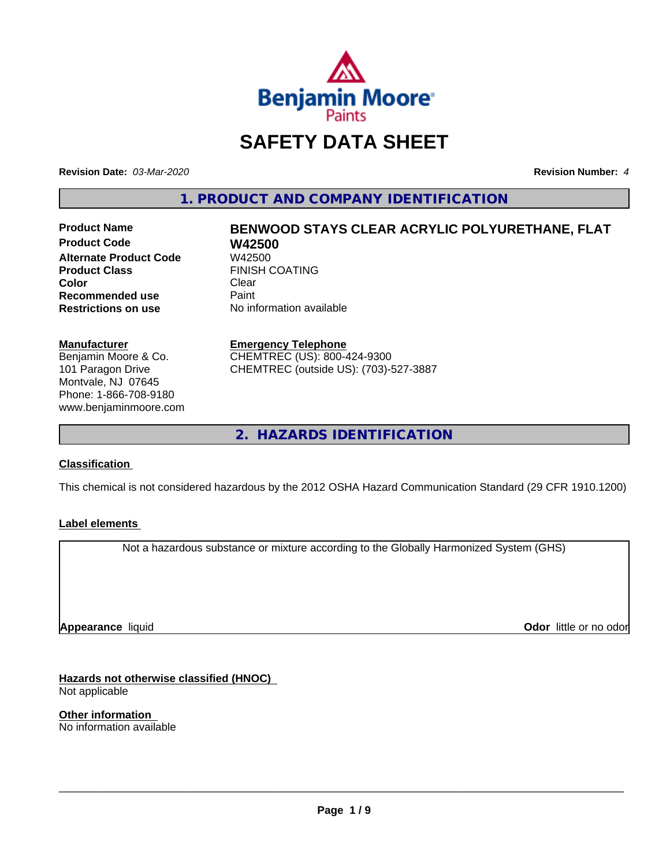

# **SAFETY DATA SHEET**

**Revision Date:** *03-Mar-2020* **Revision Number:** *4*

**1. PRODUCT AND COMPANY IDENTIFICATION**

**Product Code W42500 Alternate Product Code**<br>Product Class **Color** Clear Clear **Recommended use** Paint<br> **Restrictions on use** No inf

# **Product Name BENWOOD STAYS CLEAR ACRYLIC POLYURETHANE, FLAT FINISH COATING**

**No information available** 

#### **Manufacturer**

Benjamin Moore & Co. 101 Paragon Drive Montvale, NJ 07645 Phone: 1-866-708-9180 www.benjaminmoore.com

#### **Emergency Telephone**

CHEMTREC (US): 800-424-9300 CHEMTREC (outside US): (703)-527-3887

**2. HAZARDS IDENTIFICATION**

#### **Classification**

This chemical is not considered hazardous by the 2012 OSHA Hazard Communication Standard (29 CFR 1910.1200)

#### **Label elements**

Not a hazardous substance or mixture according to the Globally Harmonized System (GHS)

**Appearance** liquid

**Odor** little or no odor

**Hazards not otherwise classified (HNOC)** Not applicable

**Other information** No information available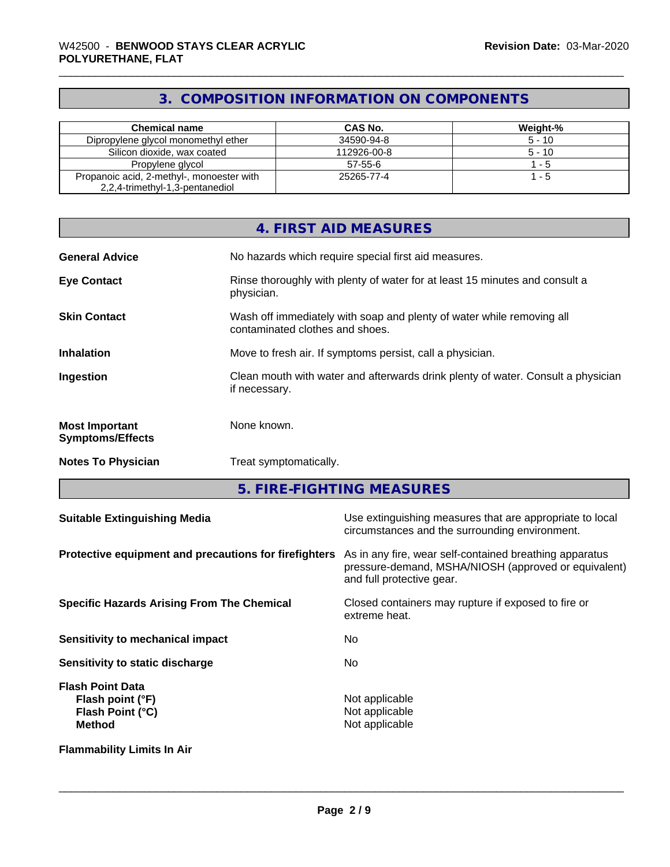# **3. COMPOSITION INFORMATION ON COMPONENTS**

| <b>Chemical name</b>                      | CAS No.     | Weight-% |
|-------------------------------------------|-------------|----------|
| Dipropylene glycol monomethyl ether       | 34590-94-8  | $5 - 10$ |
| Silicon dioxide, wax coated               | 112926-00-8 | $5 - 10$ |
| Propylene glycol                          | $57-55-6$   | - 5      |
| Propanoic acid, 2-methyl-, monoester with | 25265-77-4  | - 5      |
| 2,2,4-trimethyl-1,3-pentanediol           |             |          |

|                                                  | 4. FIRST AID MEASURES                                                                                    |
|--------------------------------------------------|----------------------------------------------------------------------------------------------------------|
| <b>General Advice</b>                            | No hazards which require special first aid measures.                                                     |
| <b>Eye Contact</b>                               | Rinse thoroughly with plenty of water for at least 15 minutes and consult a<br>physician.                |
| <b>Skin Contact</b>                              | Wash off immediately with soap and plenty of water while removing all<br>contaminated clothes and shoes. |
| <b>Inhalation</b>                                | Move to fresh air. If symptoms persist, call a physician.                                                |
| Ingestion                                        | Clean mouth with water and afterwards drink plenty of water. Consult a physician<br>if necessary.        |
| <b>Most Important</b><br><b>Symptoms/Effects</b> | None known.                                                                                              |
| <b>Notes To Physician</b>                        | Treat symptomatically.                                                                                   |

**5. FIRE-FIGHTING MEASURES**

| <b>Suitable Extinguishing Media</b>                                              | Use extinguishing measures that are appropriate to local<br>circumstances and the surrounding environment.                                   |
|----------------------------------------------------------------------------------|----------------------------------------------------------------------------------------------------------------------------------------------|
| Protective equipment and precautions for firefighters                            | As in any fire, wear self-contained breathing apparatus<br>pressure-demand, MSHA/NIOSH (approved or equivalent)<br>and full protective gear. |
| <b>Specific Hazards Arising From The Chemical</b>                                | Closed containers may rupture if exposed to fire or<br>extreme heat.                                                                         |
| Sensitivity to mechanical impact                                                 | No.                                                                                                                                          |
| Sensitivity to static discharge                                                  | No.                                                                                                                                          |
| <b>Flash Point Data</b><br>Flash point (°F)<br>Flash Point (°C)<br><b>Method</b> | Not applicable<br>Not applicable<br>Not applicable                                                                                           |
| <b>Flammability Limits In Air</b>                                                |                                                                                                                                              |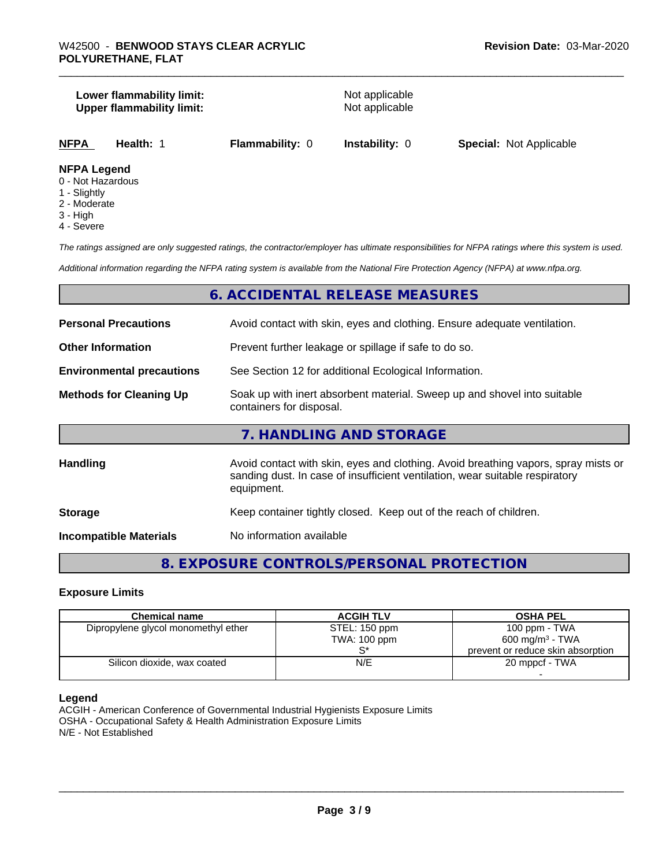#### **Lower flammability limit:**<br>
Upper flammability limit:<br>
Upper flammability limit:<br>
Not applicable **Upper flammability limit:**

|--|

#### **NFPA Legend**

- 0 Not Hazardous
- 1 Slightly
- 2 Moderate
- 3 High
- 4 Severe

*The ratings assigned are only suggested ratings, the contractor/employer has ultimate responsibilities for NFPA ratings where this system is used.*

*Additional information regarding the NFPA rating system is available from the National Fire Protection Agency (NFPA) at www.nfpa.org.*

#### **6. ACCIDENTAL RELEASE MEASURES**

| <b>Personal Precautions</b>      | Avoid contact with skin, eyes and clothing. Ensure adequate ventilation.                                                                                                         |
|----------------------------------|----------------------------------------------------------------------------------------------------------------------------------------------------------------------------------|
| <b>Other Information</b>         | Prevent further leakage or spillage if safe to do so.                                                                                                                            |
| <b>Environmental precautions</b> | See Section 12 for additional Ecological Information.                                                                                                                            |
| <b>Methods for Cleaning Up</b>   | Soak up with inert absorbent material. Sweep up and shovel into suitable<br>containers for disposal.                                                                             |
|                                  | 7. HANDLING AND STORAGE                                                                                                                                                          |
| Handling                         | Avoid contact with skin, eyes and clothing. Avoid breathing vapors, spray mists or<br>sanding dust. In case of insufficient ventilation, wear suitable respiratory<br>equipment. |
| <b>Storage</b>                   | Keep container tightly closed. Keep out of the reach of children.                                                                                                                |
| <b>Incompatible Materials</b>    | No information available                                                                                                                                                         |

### **8. EXPOSURE CONTROLS/PERSONAL PROTECTION**

#### **Exposure Limits**

| <b>Chemical name</b>                | <b>ACGIH TLV</b> | <b>OSHA PEL</b>                   |
|-------------------------------------|------------------|-----------------------------------|
|                                     |                  |                                   |
| Dipropylene glycol monomethyl ether | STEL: 150 ppm    | $100$ ppm $-$ TWA                 |
|                                     | TWA: 100 ppm     | 600 mg/m <sup>3</sup> - TWA       |
|                                     |                  | prevent or reduce skin absorption |
| Silicon dioxide, wax coated         | N/E              | 20 mppcf - TWA                    |
|                                     |                  |                                   |

#### **Legend**

ACGIH - American Conference of Governmental Industrial Hygienists Exposure Limits OSHA - Occupational Safety & Health Administration Exposure Limits N/E - Not Established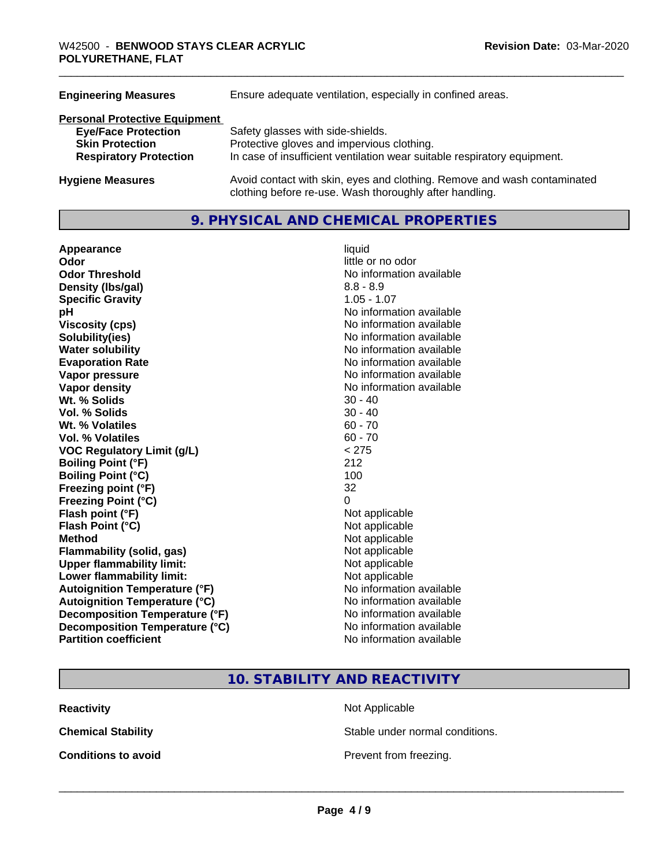| Ensure adequate ventilation, especially in confined areas.                                                                          |
|-------------------------------------------------------------------------------------------------------------------------------------|
|                                                                                                                                     |
| Safety glasses with side-shields.                                                                                                   |
| Protective gloves and impervious clothing.                                                                                          |
| In case of insufficient ventilation wear suitable respiratory equipment.                                                            |
| Avoid contact with skin, eyes and clothing. Remove and wash contaminated<br>clothing before re-use. Wash thoroughly after handling. |
|                                                                                                                                     |

#### **9. PHYSICAL AND CHEMICAL PROPERTIES**

**Appearance** liquid **Odor Odor Odor Odor Odor** *CODOR CODOR CODOR CODOR CODOR CODOR CODOR CODOR CODOR CODOR CODOR CODOR CODOR CODOR CODOR CODOR CODOR CODOR CODOR* **Odor Threshold No information available No information available Density (lbs/gal)** 8.8 - 8.9 **Specific Gravity** 1.05 - 1.07 **pH** No information available **Viscosity (cps)** No information available **Solubility(ies)** No information available **Water solubility**<br> **Evaporation Rate**<br> **Evaporation Rate**<br> **Evaporation Rate Vapor pressure** No information available **Vapor density** No information available **Wt.** % Solids 30 - 40 **Vol. % Solids** 30 - 40 **Wt.** % Volatiles 60 - 70 **Vol. % Volatiles** 60 - 70 **VOC Regulatory Limit (g/L)** < 275 **Boiling Point (°F)** 212 **Boiling Point (°C) Freezing point (°F)** 32 **Freezing Point (°C)** 0 **Flash point (°F)** Not applicable **Flash Point (°C)** Not applicable **Method**<br> **Flammability (solid, gas)**<br> **Commability (solid, gas)**<br>
Mot applicable **Flammability** (solid, gas) **Upper flammability limit:** Not applicable **Lower flammability limit:** Not applicable **Autoignition Temperature (°F)** No information available **Autoignition Temperature (°C)** No information available **Decomposition Temperature (°F)** No information available **Decomposition Temperature (°C)** No information available **Partition coefficient** No information available

**Evaporation Rate** No information available

**10. STABILITY AND REACTIVITY**

**Reactivity Not Applicable Not Applicable** 

**Chemical Stability Stable under normal conditions.** 

**Conditions to avoid Conditions to avoid Prevent from freezing.**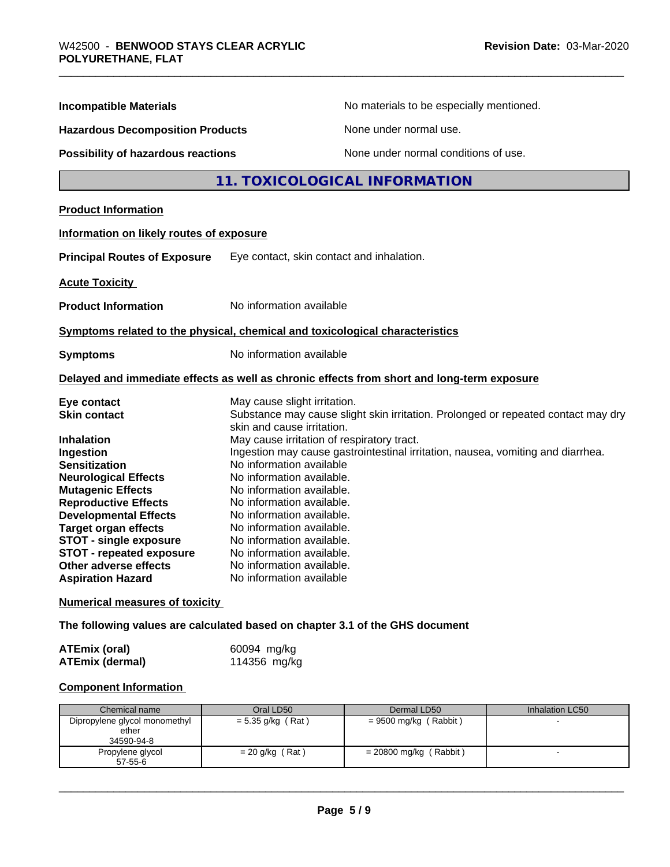| <b>Incompatible Materials</b>                                                                                                                                                                                                                                                       | No materials to be especially mentioned.                                                                                                                                                                                                                                                                                                                             |
|-------------------------------------------------------------------------------------------------------------------------------------------------------------------------------------------------------------------------------------------------------------------------------------|----------------------------------------------------------------------------------------------------------------------------------------------------------------------------------------------------------------------------------------------------------------------------------------------------------------------------------------------------------------------|
| <b>Hazardous Decomposition Products</b>                                                                                                                                                                                                                                             | None under normal use.                                                                                                                                                                                                                                                                                                                                               |
| <b>Possibility of hazardous reactions</b>                                                                                                                                                                                                                                           | None under normal conditions of use.                                                                                                                                                                                                                                                                                                                                 |
|                                                                                                                                                                                                                                                                                     | 11. TOXICOLOGICAL INFORMATION                                                                                                                                                                                                                                                                                                                                        |
| <b>Product Information</b>                                                                                                                                                                                                                                                          |                                                                                                                                                                                                                                                                                                                                                                      |
| Information on likely routes of exposure                                                                                                                                                                                                                                            |                                                                                                                                                                                                                                                                                                                                                                      |
| <b>Principal Routes of Exposure</b>                                                                                                                                                                                                                                                 | Eye contact, skin contact and inhalation.                                                                                                                                                                                                                                                                                                                            |
| <b>Acute Toxicity</b>                                                                                                                                                                                                                                                               |                                                                                                                                                                                                                                                                                                                                                                      |
| <b>Product Information</b>                                                                                                                                                                                                                                                          | No information available                                                                                                                                                                                                                                                                                                                                             |
|                                                                                                                                                                                                                                                                                     | Symptoms related to the physical, chemical and toxicological characteristics                                                                                                                                                                                                                                                                                         |
| <b>Symptoms</b>                                                                                                                                                                                                                                                                     | No information available                                                                                                                                                                                                                                                                                                                                             |
|                                                                                                                                                                                                                                                                                     | Delayed and immediate effects as well as chronic effects from short and long-term exposure                                                                                                                                                                                                                                                                           |
| Eye contact<br><b>Skin contact</b>                                                                                                                                                                                                                                                  | May cause slight irritation.<br>Substance may cause slight skin irritation. Prolonged or repeated contact may dry<br>skin and cause irritation.                                                                                                                                                                                                                      |
| <b>Inhalation</b><br>Ingestion<br><b>Sensitization</b><br><b>Neurological Effects</b><br><b>Mutagenic Effects</b><br><b>Reproductive Effects</b><br><b>Developmental Effects</b><br><b>Target organ effects</b><br><b>STOT - single exposure</b><br><b>STOT - repeated exposure</b> | May cause irritation of respiratory tract.<br>Ingestion may cause gastrointestinal irritation, nausea, vomiting and diarrhea.<br>No information available<br>No information available.<br>No information available.<br>No information available.<br>No information available.<br>No information available.<br>No information available.<br>No information available. |
| Other adverse effects<br>No information available.<br><b>Aspiration Hazard</b><br>No information available                                                                                                                                                                          |                                                                                                                                                                                                                                                                                                                                                                      |

**Numerical measures of toxicity**

**The following values are calculated based on chapter 3.1 of the GHS document**

| ATEmix (oral)   | 60094 mg/kg  |
|-----------------|--------------|
| ATEmix (dermal) | 114356 mg/kg |

#### **Component Information**

| Chemical name                                        | Oral LD50           | Dermal LD50              | Inhalation LC50 |
|------------------------------------------------------|---------------------|--------------------------|-----------------|
| Dipropylene glycol monomethyl<br>ether<br>34590-94-8 | $= 5.35$ g/kg (Rat) | = 9500 mg/kg (Rabbit)    |                 |
| Propylene glycol<br>$57 - 55 - 6$                    | $= 20$ g/kg (Rat)   | = 20800 mg/kg ( Rabbit ) |                 |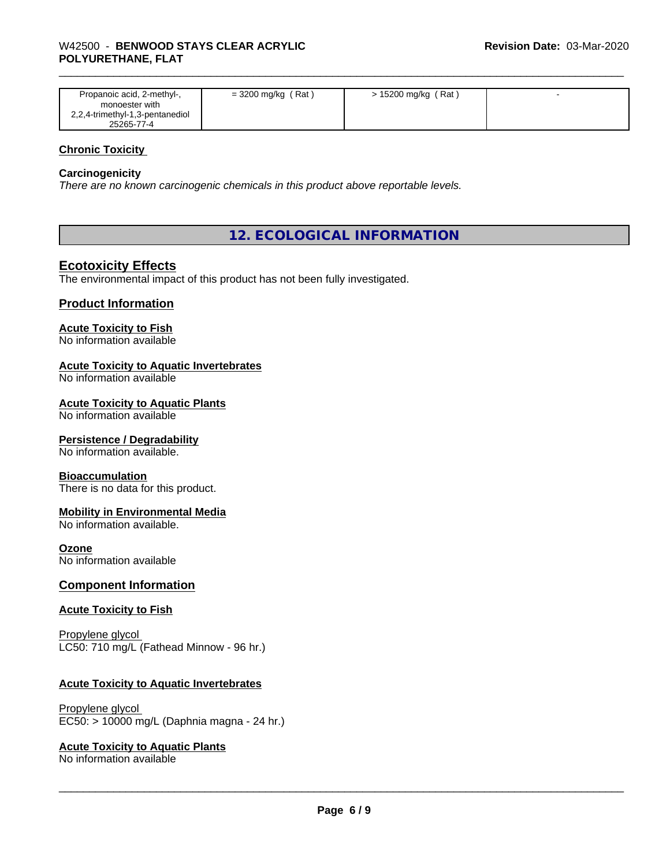| Propanoic acid, 2-methyl-,<br>monoester with  | $=$ 3200 mg/kg (Rat) | > 15200 mg/kg (Rat) |  |
|-----------------------------------------------|----------------------|---------------------|--|
| 2,2,4-trimethyl-1,3-pentanediol<br>25265-77-4 |                      |                     |  |

#### **Chronic Toxicity**

#### **Carcinogenicity**

*There are no known carcinogenic chemicals in this product above reportable levels.*

#### **12. ECOLOGICAL INFORMATION**

#### **Ecotoxicity Effects**

The environmental impact of this product has not been fully investigated.

#### **Product Information**

#### **Acute Toxicity to Fish**

No information available

#### **Acute Toxicity to Aquatic Invertebrates**

No information available

#### **Acute Toxicity to Aquatic Plants**

No information available

#### **Persistence / Degradability**

No information available.

#### **Bioaccumulation**

There is no data for this product.

#### **Mobility in Environmental Media**

No information available.

#### **Ozone**

No information available

#### **Component Information**

#### **Acute Toxicity to Fish**

Propylene glycol LC50: 710 mg/L (Fathead Minnow - 96 hr.)

#### **Acute Toxicity to Aquatic Invertebrates**

Propylene glycol EC50: > 10000 mg/L (Daphnia magna - 24 hr.)

#### **Acute Toxicity to Aquatic Plants**

No information available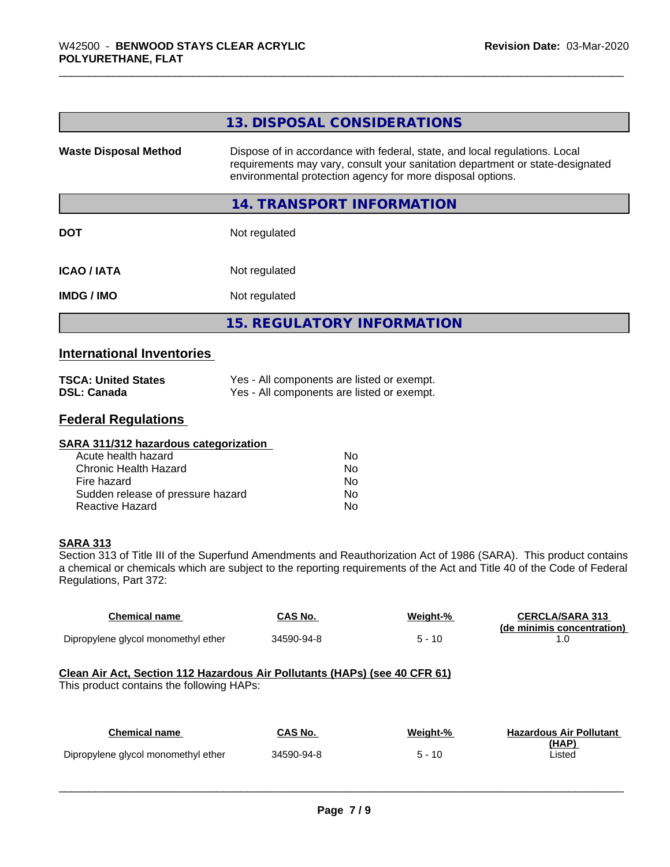|                                  | 13. DISPOSAL CONSIDERATIONS                                                                                                                                                                                               |
|----------------------------------|---------------------------------------------------------------------------------------------------------------------------------------------------------------------------------------------------------------------------|
| <b>Waste Disposal Method</b>     | Dispose of in accordance with federal, state, and local regulations. Local<br>requirements may vary, consult your sanitation department or state-designated<br>environmental protection agency for more disposal options. |
|                                  | 14. TRANSPORT INFORMATION                                                                                                                                                                                                 |
| <b>DOT</b>                       | Not regulated                                                                                                                                                                                                             |
| <b>ICAO/IATA</b>                 | Not regulated                                                                                                                                                                                                             |
| <b>IMDG / IMO</b>                | Not regulated                                                                                                                                                                                                             |
|                                  | <b>15. REGULATORY INFORMATION</b>                                                                                                                                                                                         |
| <b>International Inventories</b> |                                                                                                                                                                                                                           |

| <b>TSCA: United States</b> | Yes - All components are listed or exempt. |
|----------------------------|--------------------------------------------|
| DSL: Canada                | Yes - All components are listed or exempt. |

## **Federal Regulations**

| SARA 311/312 hazardous categorization |    |  |
|---------------------------------------|----|--|
| Acute health hazard                   | Nο |  |
| Chronic Health Hazard                 | No |  |
| Fire hazard                           | Nο |  |
| Sudden release of pressure hazard     | No |  |
| Reactive Hazard                       | No |  |

#### **SARA 313**

Section 313 of Title III of the Superfund Amendments and Reauthorization Act of 1986 (SARA). This product contains a chemical or chemicals which are subject to the reporting requirements of the Act and Title 40 of the Code of Federal Regulations, Part 372:

| <b>Chemical name</b>                                                                                                    | CAS No.    | Weight-% | <b>CERCLA/SARA 313</b><br>(de minimis concentration) |  |
|-------------------------------------------------------------------------------------------------------------------------|------------|----------|------------------------------------------------------|--|
| Dipropylene glycol monomethyl ether                                                                                     | 34590-94-8 | $5 - 10$ | 1.0                                                  |  |
| Clean Air Act, Section 112 Hazardous Air Pollutants (HAPs) (see 40 CFR 61)<br>This product contains the following HAPs: |            |          |                                                      |  |
| <b>Chemical name</b>                                                                                                    | CAS No.    | Weight-% | <b>Hazardous Air Pollutant</b><br>(HAP)              |  |
| Dipropylene glycol monomethyl ether                                                                                     | 34590-94-8 | $5 - 10$ | Listed                                               |  |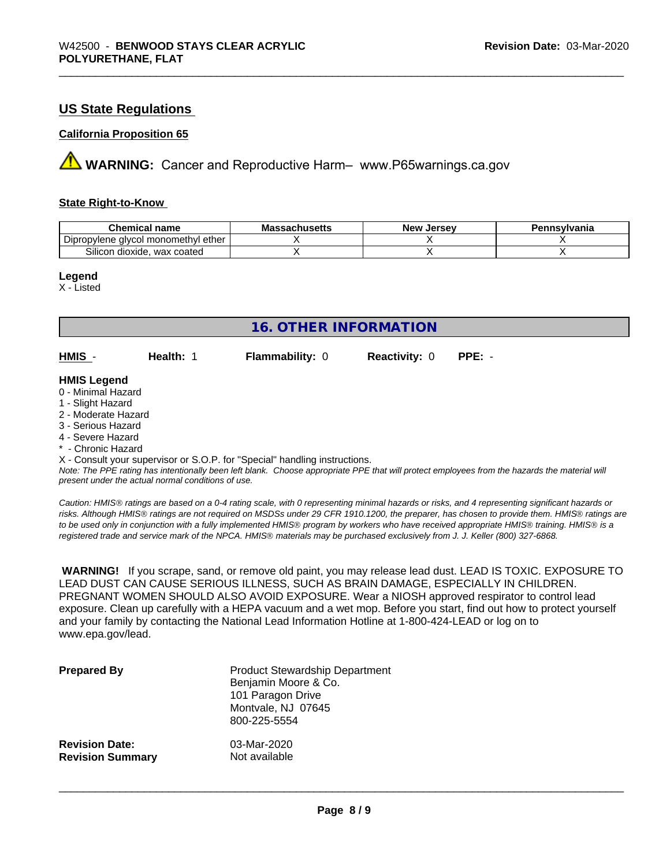#### **US State Regulations**

#### **California Proposition 65**

**A** WARNING: Cancer and Reproductive Harm– www.P65warnings.ca.gov

#### **State Right-to-Know**

| Chemical<br>name                                        | achucatte<br>IVIG:<br>⊶dunus <del>c</del> us | . Jersev<br><b>Nev</b> | าทรงIvania |
|---------------------------------------------------------|----------------------------------------------|------------------------|------------|
| -<br>ether<br>alvcol monomethvl (<br>oviene<br>טוע      |                                              |                        |            |
| $\sim \cdot \cdot$<br>wax coated<br>dioxide.<br>Silicon |                                              |                        |            |

#### **Legend**

X - Listed

| <b>16. OTHER INFORMATION</b>                                                                                                                          |                                                    |                                                                            |                      |                                                                                                                                               |
|-------------------------------------------------------------------------------------------------------------------------------------------------------|----------------------------------------------------|----------------------------------------------------------------------------|----------------------|-----------------------------------------------------------------------------------------------------------------------------------------------|
| HMIS -                                                                                                                                                | Health: 1                                          | <b>Flammability: 0</b>                                                     | <b>Reactivity: 0</b> | $PPE: -$                                                                                                                                      |
| <b>HMIS Legend</b><br>0 - Minimal Hazard<br>1 - Slight Hazard<br>2 - Moderate Hazard<br>3 - Serious Hazard<br>4 - Severe Hazard<br>* - Chronic Hazard |                                                    |                                                                            |                      |                                                                                                                                               |
|                                                                                                                                                       | present under the actual normal conditions of use. | X - Consult your supervisor or S.O.P. for "Special" handling instructions. |                      | Note: The PPE rating has intentionally been left blank. Choose appropriate PPE that will protect employees from the hazards the material will |

*Caution: HMISÒ ratings are based on a 0-4 rating scale, with 0 representing minimal hazards or risks, and 4 representing significant hazards or risks. Although HMISÒ ratings are not required on MSDSs under 29 CFR 1910.1200, the preparer, has chosen to provide them. HMISÒ ratings are to be used only in conjunction with a fully implemented HMISÒ program by workers who have received appropriate HMISÒ training. HMISÒ is a registered trade and service mark of the NPCA. HMISÒ materials may be purchased exclusively from J. J. Keller (800) 327-6868.*

 **WARNING!** If you scrape, sand, or remove old paint, you may release lead dust. LEAD IS TOXIC. EXPOSURE TO LEAD DUST CAN CAUSE SERIOUS ILLNESS, SUCH AS BRAIN DAMAGE, ESPECIALLY IN CHILDREN. PREGNANT WOMEN SHOULD ALSO AVOID EXPOSURE. Wear a NIOSH approved respirator to control lead exposure. Clean up carefully with a HEPA vacuum and a wet mop. Before you start, find out how to protect yourself and your family by contacting the National Lead Information Hotline at 1-800-424-LEAD or log on to www.epa.gov/lead.

| <b>Prepared By</b>      | <b>Product Stewardship Department</b><br>Benjamin Moore & Co.<br>101 Paragon Drive<br>Montvale, NJ 07645<br>800-225-5554 |
|-------------------------|--------------------------------------------------------------------------------------------------------------------------|
| <b>Revision Date:</b>   | 03-Mar-2020                                                                                                              |
| <b>Revision Summary</b> | Not available                                                                                                            |